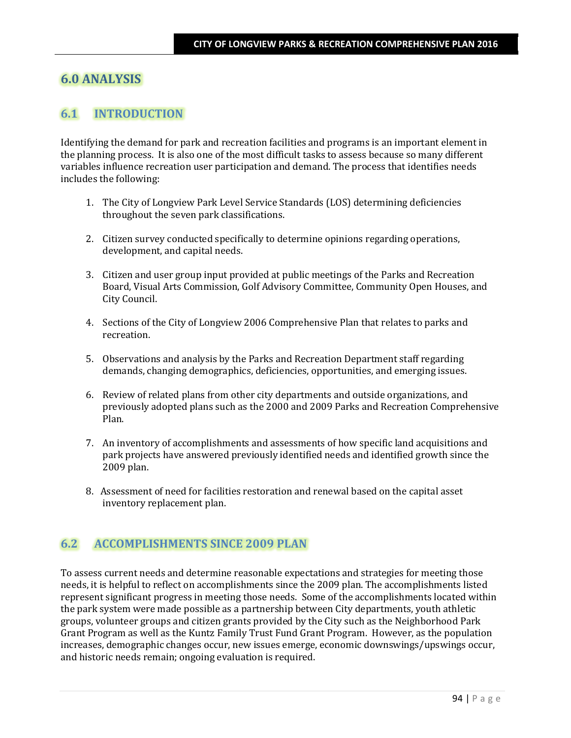# **6.0 ANALYSIS**

# **6.1 INTRODUCTION**

Identifying the demand for park and recreation facilities and programs is an important element in the planning process. It is also one of the most difficult tasks to assess because so many different variables influence recreation user participation and demand. The process that identifies needs includes the following:

- 1. The City of Longview Park Level Service Standards (LOS) determining deficiencies throughout the seven park classifications.
- 2. Citizen survey conducted specifically to determine opinions regarding operations, development, and capital needs.
- 3. Citizen and user group input provided at public meetings of the Parks and Recreation Board, Visual Arts Commission, Golf Advisory Committee, Community Open Houses, and City Council.
- 4. Sections of the City of Longview 2006 Comprehensive Plan that relates to parks and recreation.
- 5. Observations and analysis by the Parks and Recreation Department staff regarding demands, changing demographics, deficiencies, opportunities, and emerging issues.
- 6. Review of related plans from other city departments and outside organizations, and previously adopted plans such as the 2000 and 2009 Parks and Recreation Comprehensive Plan.
- 7. An inventory of accomplishments and assessments of how specific land acquisitions and park projects have answered previously identified needs and identified growth since the 2009 plan.
- 8. Assessment of need for facilities restoration and renewal based on the capital asset inventory replacement plan.

# **6.2 ACCOMPLISHMENTS SINCE 2009 PLAN**

To assess current needs and determine reasonable expectations and strategies for meeting those needs, it is helpful to reflect on accomplishments since the 2009 plan. The accomplishments listed represent significant progress in meeting those needs. Some of the accomplishments located within the park system were made possible as a partnership between City departments, youth athletic groups, volunteer groups and citizen grants provided by the City such as the Neighborhood Park Grant Program as well as the Kuntz Family Trust Fund Grant Program. However, as the population increases, demographic changes occur, new issues emerge, economic downswings/upswings occur, and historic needs remain; ongoing evaluation is required.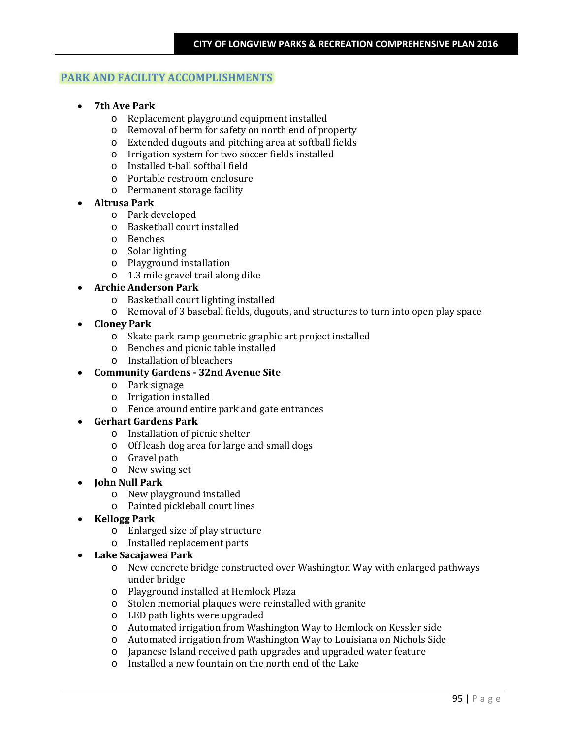## **PARK AND FACILITY ACCOMPLISHMENTS**

- **7th Ave Park**
	- o Replacement playground equipment installed
	- o Removal of berm for safety on north end of property
	- o Extended dugouts and pitching area at softball fields
	- o Irrigation system for two soccer fields installed
	- o Installed t-ball softball field
	- o Portable restroom enclosure
	- o Permanent storage facility
- **Altrusa Park**
	- o Park developed
	- o Basketball court installed
	- o Benches
	- o Solar lighting
	- o Playground installation
	- o 1.3 mile gravel trail along dike

## • **Archie Anderson Park**

- o Basketball court lighting installed
- o Removal of 3 baseball fields, dugouts, and structures to turn into open play space
- **Cloney Park**
	- o Skate park ramp geometric graphic art project installed
	- o Benches and picnic table installed
	- o Installation of bleachers

## • **Community Gardens - 32nd Avenue Site**

- o Park signage
- o Irrigation installed
- o Fence around entire park and gate entrances

### • **Gerhart Gardens Park**

- o Installation of picnic shelter
- o Off leash dog area for large and small dogs
- o Gravel path
- o New swing set
- **John Null Park**
	- o New playground installed
	- o Painted pickleball court lines
- **Kellogg Park**
	- o Enlarged size of play structure
	- o Installed replacement parts

#### • **Lake Sacajawea Park**

- o New concrete bridge constructed over Washington Way with enlarged pathways under bridge
- o Playground installed at Hemlock Plaza
- o Stolen memorial plaques were reinstalled with granite
- o LED path lights were upgraded
- o Automated irrigation from Washington Way to Hemlock on Kessler side
- o Automated irrigation from Washington Way to Louisiana on Nichols Side
- o Japanese Island received path upgrades and upgraded water feature
- o Installed a new fountain on the north end of the Lake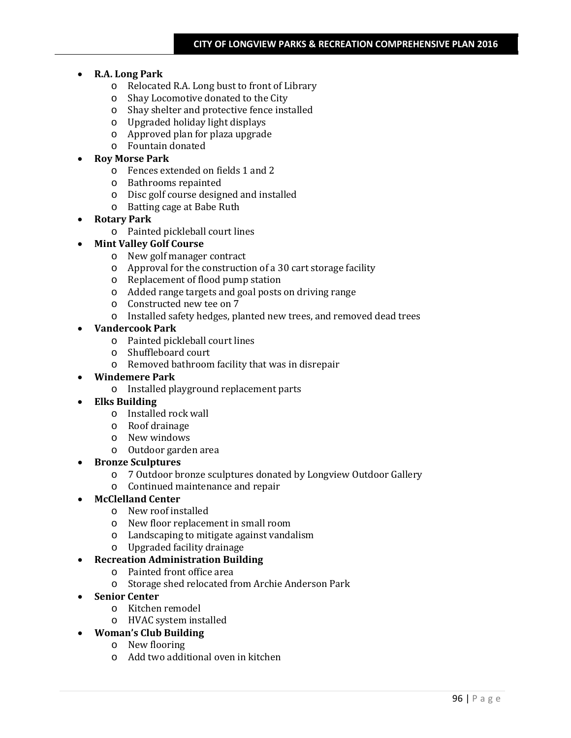- **R.A. Long Park**
	- o Relocated R.A. Long bust to front of Library
	- o Shay Locomotive donated to the City
	- o Shay shelter and protective fence installed
	- o Upgraded holiday light displays
	- o Approved plan for plaza upgrade
	- o Fountain donated

## • **Roy Morse Park**

- o Fences extended on fields 1 and 2
- o Bathrooms repainted
- o Disc golf course designed and installed
- o Batting cage at Babe Ruth

## • **Rotary Park**

o Painted pickleball court lines

## • **Mint Valley Golf Course**

- o New golf manager contract
- o Approval for the construction of a 30 cart storage facility
- o Replacement of flood pump station
- o Added range targets and goal posts on driving range
- o Constructed new tee on 7
- o Installed safety hedges, planted new trees, and removed dead trees

## • **Vandercook Park**

- o Painted pickleball court lines
- o Shuffleboard court
- o Removed bathroom facility that was in disrepair

## • **Windemere Park**

o Installed playground replacement parts

## • **Elks Building**

- o Installed rock wall
- o Roof drainage
- o New windows
- o Outdoor garden area

## • **Bronze Sculptures**

- o 7 Outdoor bronze sculptures donated by Longview Outdoor Gallery
- o Continued maintenance and repair

## • **McClelland Center**

- o New roof installed
- o New floor replacement in small room
- o Landscaping to mitigate against vandalism
- o Upgraded facility drainage

## • **Recreation Administration Building**

- o Painted front office area
- o Storage shed relocated from Archie Anderson Park
- **Senior Center**
	- o Kitchen remodel
	- o HVAC system installed
- **Woman's Club Building**
	- o New flooring
	- o Add two additional oven in kitchen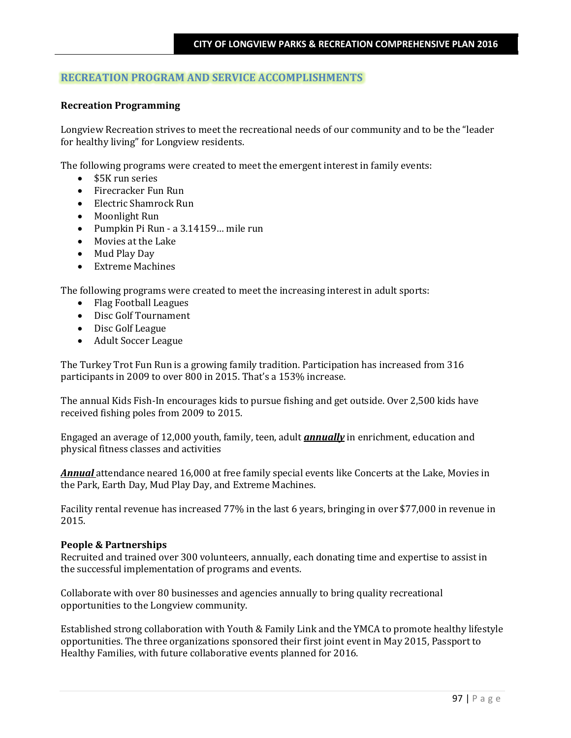## **RECREATION PROGRAM AND SERVICE ACCOMPLISHMENTS**

#### **Recreation Programming**

Longview Recreation strives to meet the recreational needs of our community and to be the "leader for healthy living" for Longview residents.

The following programs were created to meet the emergent interest in family events:

- \$5K run series
- Firecracker Fun Run
- Electric Shamrock Run
- Moonlight Run
- Pumpkin Pi Run a 3.14159… mile run
- Movies at the Lake
- Mud Play Day
- Extreme Machines

The following programs were created to meet the increasing interest in adult sports:

- Flag Football Leagues
- Disc Golf Tournament
- Disc Golf League
- Adult Soccer League

The Turkey Trot Fun Run is a growing family tradition. Participation has increased from 316 participants in 2009 to over 800 in 2015. That's a 153% increase.

The annual Kids Fish-In encourages kids to pursue fishing and get outside. Over 2,500 kids have received fishing poles from 2009 to 2015.

Engaged an average of 12,000 youth, family, teen, adult *annually* in enrichment, education and physical fitness classes and activities

*Annual* attendance neared 16,000 at free family special events like Concerts at the Lake, Movies in the Park, Earth Day, Mud Play Day, and Extreme Machines.

Facility rental revenue has increased 77% in the last 6 years, bringing in over \$77,000 in revenue in 2015.

#### **People & Partnerships**

Recruited and trained over 300 volunteers, annually, each donating time and expertise to assist in the successful implementation of programs and events.

Collaborate with over 80 businesses and agencies annually to bring quality recreational opportunities to the Longview community.

Established strong collaboration with Youth & Family Link and the YMCA to promote healthy lifestyle opportunities. The three organizations sponsored their first joint event in May 2015, Passport to Healthy Families, with future collaborative events planned for 2016.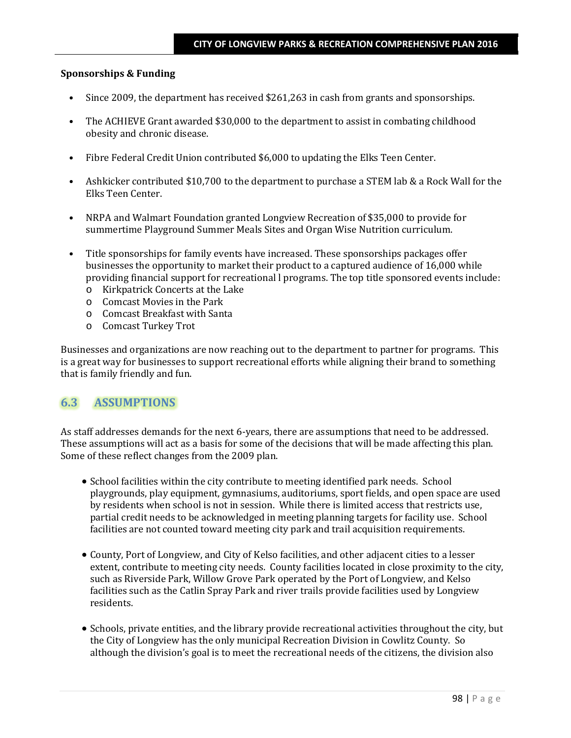#### **Sponsorships & Funding**

- Since 2009, the department has received \$261,263 in cash from grants and sponsorships.
- The ACHIEVE Grant awarded \$30,000 to the department to assist in combating childhood obesity and chronic disease.
- Fibre Federal Credit Union contributed \$6,000 to updating the Elks Teen Center.
- Ashkicker contributed \$10,700 to the department to purchase a STEM lab & a Rock Wall for the Elks Teen Center.
- NRPA and Walmart Foundation granted Longview Recreation of \$35,000 to provide for summertime Playground Summer Meals Sites and Organ Wise Nutrition curriculum.
- Title sponsorships for family events have increased. These sponsorships packages offer businesses the opportunity to market their product to a captured audience of 16,000 while providing financial support for recreational l programs. The top title sponsored events include:
	- o Kirkpatrick Concerts at the Lake
	- o Comcast Movies in the Park
	- o Comcast Breakfast with Santa
	- o Comcast Turkey Trot

Businesses and organizations are now reaching out to the department to partner for programs. This is a great way for businesses to support recreational efforts while aligning their brand to something that is family friendly and fun.

## **6.3 ASSUMPTIONS**

As staff addresses demands for the next 6-years, there are assumptions that need to be addressed. These assumptions will act as a basis for some of the decisions that will be made affecting this plan. Some of these reflect changes from the 2009 plan.

- School facilities within the city contribute to meeting identified park needs. School playgrounds, play equipment, gymnasiums, auditoriums, sport fields, and open space are used by residents when school is not in session. While there is limited access that restricts use, partial credit needs to be acknowledged in meeting planning targets for facility use. School facilities are not counted toward meeting city park and trail acquisition requirements.
- County, Port of Longview, and City of Kelso facilities, and other adjacent cities to a lesser extent, contribute to meeting city needs. County facilities located in close proximity to the city, such as Riverside Park, Willow Grove Park operated by the Port of Longview, and Kelso facilities such as the Catlin Spray Park and river trails provide facilities used by Longview residents.
- Schools, private entities, and the library provide recreational activities throughout the city, but the City of Longview has the only municipal Recreation Division in Cowlitz County. So although the division's goal is to meet the recreational needs of the citizens, the division also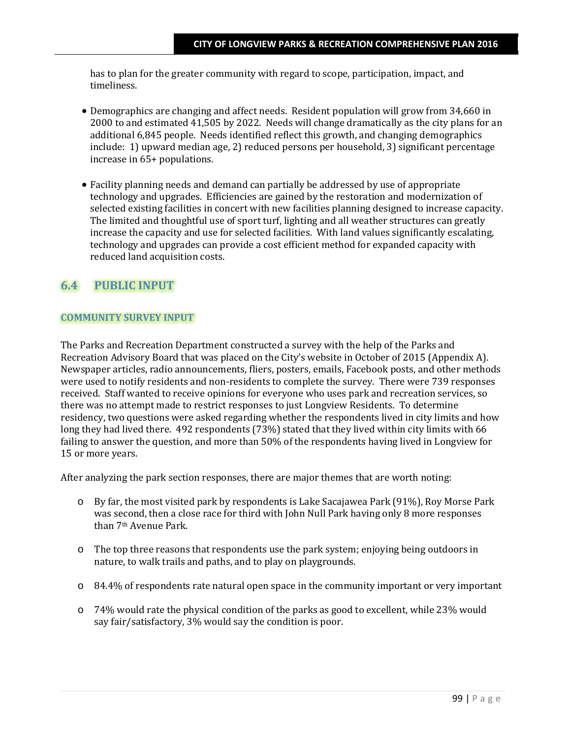has to plan for the greater community with regard to scope, participation, impact, and timeliness.

- Demographics are changing and affect needs. Resident population will grow from 34,660 in 2000 to and estimated 41,505 by 2022. Needs will change dramatically as the city plans for an additional 6,845 people. Needs identified reflect this growth, and changing demographics include: 1) upward median age, 2) reduced persons per household, 3) significant percentage increase in 65+ populations.
- Facility planning needs and demand can partially be addressed by use of appropriate technology and upgrades. Efficiencies are gained by the restoration and modernization of selected existing facilities in concert with new facilities planning designed to increase capacity. The limited and thoughtful use of sport turf, lighting and all weather structures can greatly increase the capacity and use for selected facilities. With land values significantly escalating, technology and upgrades can provide a cost efficient method for expanded capacity with reduced land acquisition costs.

# **6.4 PUBLIC INPUT**

## **COMMUNITY SURVEY INPUT**

The Parks and Recreation Department constructed a survey with the help of the Parks and Recreation Advisory Board that was placed on the City's website in October of 2015 (Appendix A). Newspaper articles, radio announcements, fliers, posters, emails, Facebook posts, and other methods were used to notify residents and non-residents to complete the survey. There were 739 responses received. Staff wanted to receive opinions for everyone who uses park and recreation services, so there was no attempt made to restrict responses to just Longview Residents. To determine residency, two questions were asked regarding whether the respondents lived in city limits and how long they had lived there. 492 respondents (73%) stated that they lived within city limits with 66 failing to answer the question, and more than 50% of the respondents having lived in Longview for 15 or more years.

After analyzing the park section responses, there are major themes that are worth noting:

- o By far, the most visited park by respondents is Lake Sacajawea Park (91%), Roy Morse Park was second, then a close race for third with John Null Park having only 8 more responses than 7th Avenue Park.
- o The top three reasons that respondents use the park system; enjoying being outdoors in nature, to walk trails and paths, and to play on playgrounds.
- o 84.4% of respondents rate natural open space in the community important or very important
- o 74% would rate the physical condition of the parks as good to excellent, while 23% would say fair/satisfactory, 3% would say the condition is poor.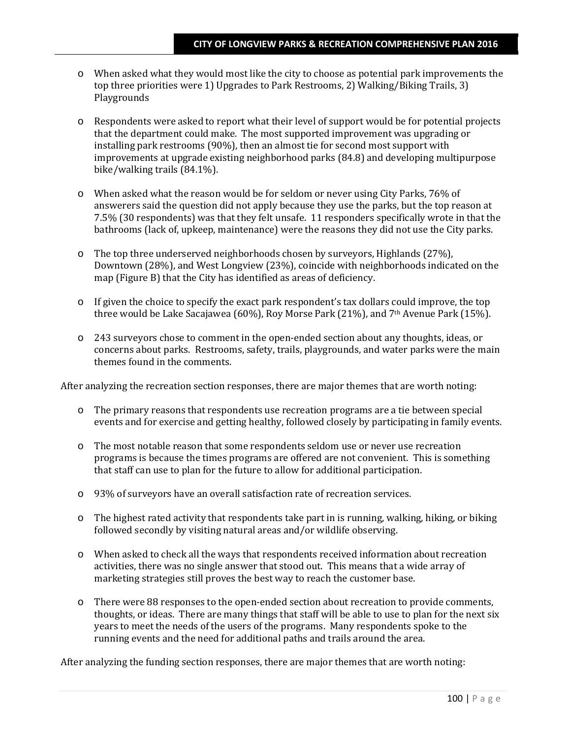- o When asked what they would most like the city to choose as potential park improvements the top three priorities were 1) Upgrades to Park Restrooms, 2) Walking/Biking Trails, 3) Playgrounds
- o Respondents were asked to report what their level of support would be for potential projects that the department could make. The most supported improvement was upgrading or installing park restrooms (90%), then an almost tie for second most support with improvements at upgrade existing neighborhood parks (84.8) and developing multipurpose bike/walking trails (84.1%).
- o When asked what the reason would be for seldom or never using City Parks, 76% of answerers said the question did not apply because they use the parks, but the top reason at 7.5% (30 respondents) was that they felt unsafe. 11 responders specifically wrote in that the bathrooms (lack of, upkeep, maintenance) were the reasons they did not use the City parks.
- o The top three underserved neighborhoods chosen by surveyors, Highlands (27%), Downtown (28%), and West Longview (23%), coincide with neighborhoods indicated on the map (Figure B) that the City has identified as areas of deficiency.
- o If given the choice to specify the exact park respondent's tax dollars could improve, the top three would be Lake Sacajawea (60%), Roy Morse Park (21%), and 7th Avenue Park (15%).
- o 243 surveyors chose to comment in the open-ended section about any thoughts, ideas, or concerns about parks. Restrooms, safety, trails, playgrounds, and water parks were the main themes found in the comments.

After analyzing the recreation section responses, there are major themes that are worth noting:

- o The primary reasons that respondents use recreation programs are a tie between special events and for exercise and getting healthy, followed closely by participating in family events.
- o The most notable reason that some respondents seldom use or never use recreation programs is because the times programs are offered are not convenient. This is something that staff can use to plan for the future to allow for additional participation.
- o 93% of surveyors have an overall satisfaction rate of recreation services.
- o The highest rated activity that respondents take part in is running, walking, hiking, or biking followed secondly by visiting natural areas and/or wildlife observing.
- o When asked to check all the ways that respondents received information about recreation activities, there was no single answer that stood out. This means that a wide array of marketing strategies still proves the best way to reach the customer base.
- o There were 88 responses to the open-ended section about recreation to provide comments, thoughts, or ideas. There are many things that staff will be able to use to plan for the next six years to meet the needs of the users of the programs. Many respondents spoke to the running events and the need for additional paths and trails around the area.

After analyzing the funding section responses, there are major themes that are worth noting: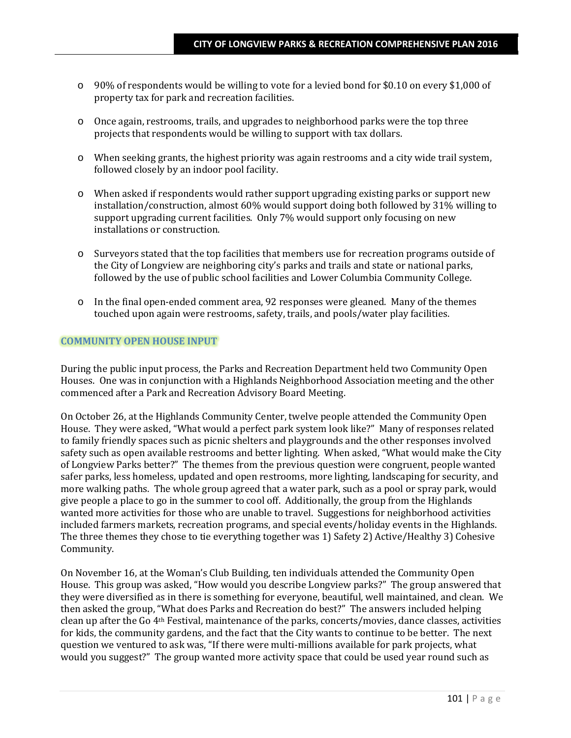- o 90% of respondents would be willing to vote for a levied bond for \$0.10 on every \$1,000 of property tax for park and recreation facilities.
- o Once again, restrooms, trails, and upgrades to neighborhood parks were the top three projects that respondents would be willing to support with tax dollars.
- o When seeking grants, the highest priority was again restrooms and a city wide trail system, followed closely by an indoor pool facility.
- o When asked if respondents would rather support upgrading existing parks or support new installation/construction, almost 60% would support doing both followed by 31% willing to support upgrading current facilities. Only 7% would support only focusing on new installations or construction.
- o Surveyors stated that the top facilities that members use for recreation programs outside of the City of Longview are neighboring city's parks and trails and state or national parks, followed by the use of public school facilities and Lower Columbia Community College.
- o In the final open-ended comment area, 92 responses were gleaned. Many of the themes touched upon again were restrooms, safety, trails, and pools/water play facilities.

### **COMMUNITY OPEN HOUSE INPUT**

During the public input process, the Parks and Recreation Department held two Community Open Houses. One was in conjunction with a Highlands Neighborhood Association meeting and the other commenced after a Park and Recreation Advisory Board Meeting.

On October 26, at the Highlands Community Center, twelve people attended the Community Open House. They were asked, "What would a perfect park system look like?" Many of responses related to family friendly spaces such as picnic shelters and playgrounds and the other responses involved safety such as open available restrooms and better lighting. When asked, "What would make the City of Longview Parks better?" The themes from the previous question were congruent, people wanted safer parks, less homeless, updated and open restrooms, more lighting, landscaping for security, and more walking paths. The whole group agreed that a water park, such as a pool or spray park, would give people a place to go in the summer to cool off. Additionally, the group from the Highlands wanted more activities for those who are unable to travel. Suggestions for neighborhood activities included farmers markets, recreation programs, and special events/holiday events in the Highlands. The three themes they chose to tie everything together was 1) Safety 2) Active/Healthy 3) Cohesive Community.

On November 16, at the Woman's Club Building, ten individuals attended the Community Open House. This group was asked, "How would you describe Longview parks?" The group answered that they were diversified as in there is something for everyone, beautiful, well maintained, and clean. We then asked the group, "What does Parks and Recreation do best?" The answers included helping clean up after the Go 4th Festival, maintenance of the parks, concerts/movies, dance classes, activities for kids, the community gardens, and the fact that the City wants to continue to be better. The next question we ventured to ask was, "If there were multi-millions available for park projects, what would you suggest?" The group wanted more activity space that could be used year round such as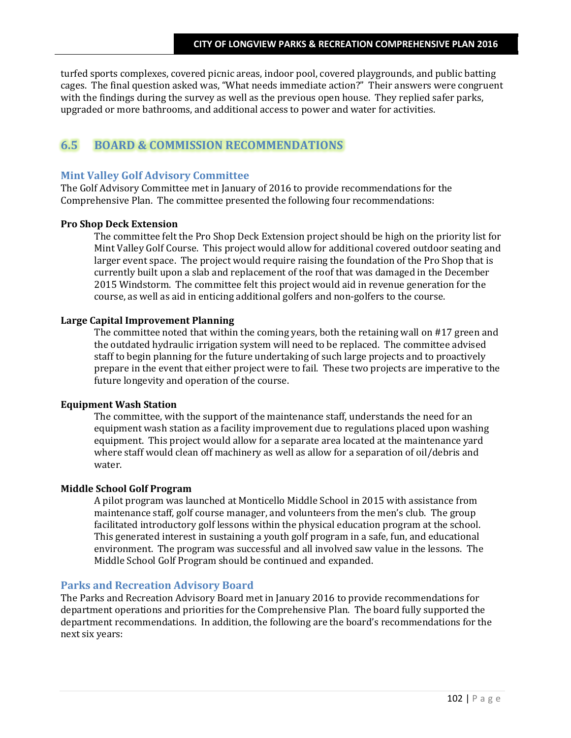turfed sports complexes, covered picnic areas, indoor pool, covered playgrounds, and public batting cages. The final question asked was, "What needs immediate action?" Their answers were congruent with the findings during the survey as well as the previous open house. They replied safer parks, upgraded or more bathrooms, and additional access to power and water for activities.

# **6.5 BOARD & COMMISSION RECOMMENDATIONS**

## **Mint Valley Golf Advisory Committee**

The Golf Advisory Committee met in January of 2016 to provide recommendations for the Comprehensive Plan. The committee presented the following four recommendations:

## **Pro Shop Deck Extension**

The committee felt the Pro Shop Deck Extension project should be high on the priority list for Mint Valley Golf Course. This project would allow for additional covered outdoor seating and larger event space. The project would require raising the foundation of the Pro Shop that is currently built upon a slab and replacement of the roof that was damaged in the December 2015 Windstorm. The committee felt this project would aid in revenue generation for the course, as well as aid in enticing additional golfers and non-golfers to the course.

## **Large Capital Improvement Planning**

The committee noted that within the coming years, both the retaining wall on #17 green and the outdated hydraulic irrigation system will need to be replaced. The committee advised staff to begin planning for the future undertaking of such large projects and to proactively prepare in the event that either project were to fail. These two projects are imperative to the future longevity and operation of the course.

#### **Equipment Wash Station**

The committee, with the support of the maintenance staff, understands the need for an equipment wash station as a facility improvement due to regulations placed upon washing equipment. This project would allow for a separate area located at the maintenance yard where staff would clean off machinery as well as allow for a separation of oil/debris and water.

## **Middle School Golf Program**

A pilot program was launched at Monticello Middle School in 2015 with assistance from maintenance staff, golf course manager, and volunteers from the men's club. The group facilitated introductory golf lessons within the physical education program at the school. This generated interest in sustaining a youth golf program in a safe, fun, and educational environment. The program was successful and all involved saw value in the lessons. The Middle School Golf Program should be continued and expanded.

## **Parks and Recreation Advisory Board**

The Parks and Recreation Advisory Board met in January 2016 to provide recommendations for department operations and priorities for the Comprehensive Plan. The board fully supported the department recommendations. In addition, the following are the board's recommendations for the next six years: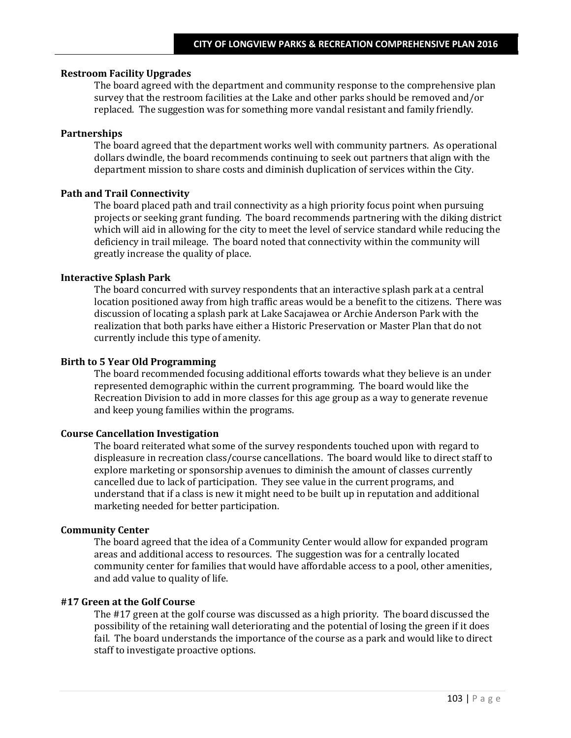#### **Restroom Facility Upgrades**

The board agreed with the department and community response to the comprehensive plan survey that the restroom facilities at the Lake and other parks should be removed and/or replaced. The suggestion was for something more vandal resistant and family friendly.

## **Partnerships**

The board agreed that the department works well with community partners. As operational dollars dwindle, the board recommends continuing to seek out partners that align with the department mission to share costs and diminish duplication of services within the City.

#### **Path and Trail Connectivity**

The board placed path and trail connectivity as a high priority focus point when pursuing projects or seeking grant funding. The board recommends partnering with the diking district which will aid in allowing for the city to meet the level of service standard while reducing the deficiency in trail mileage. The board noted that connectivity within the community will greatly increase the quality of place.

#### **Interactive Splash Park**

The board concurred with survey respondents that an interactive splash park at a central location positioned away from high traffic areas would be a benefit to the citizens. There was discussion of locating a splash park at Lake Sacajawea or Archie Anderson Park with the realization that both parks have either a Historic Preservation or Master Plan that do not currently include this type of amenity.

#### **Birth to 5 Year Old Programming**

The board recommended focusing additional efforts towards what they believe is an under represented demographic within the current programming. The board would like the Recreation Division to add in more classes for this age group as a way to generate revenue and keep young families within the programs.

#### **Course Cancellation Investigation**

The board reiterated what some of the survey respondents touched upon with regard to displeasure in recreation class/course cancellations. The board would like to direct staff to explore marketing or sponsorship avenues to diminish the amount of classes currently cancelled due to lack of participation. They see value in the current programs, and understand that if a class is new it might need to be built up in reputation and additional marketing needed for better participation.

#### **Community Center**

The board agreed that the idea of a Community Center would allow for expanded program areas and additional access to resources. The suggestion was for a centrally located community center for families that would have affordable access to a pool, other amenities, and add value to quality of life.

#### **#17 Green at the Golf Course**

The #17 green at the golf course was discussed as a high priority. The board discussed the possibility of the retaining wall deteriorating and the potential of losing the green if it does fail. The board understands the importance of the course as a park and would like to direct staff to investigate proactive options.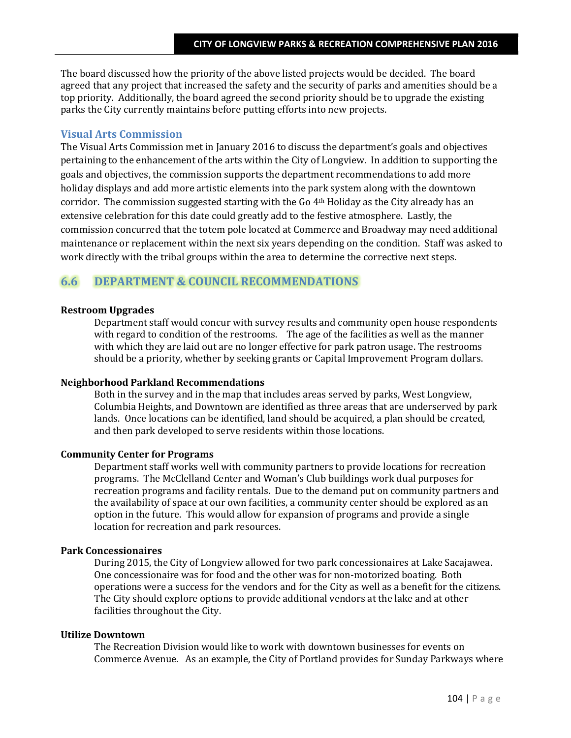The board discussed how the priority of the above listed projects would be decided. The board agreed that any project that increased the safety and the security of parks and amenities should be a top priority. Additionally, the board agreed the second priority should be to upgrade the existing parks the City currently maintains before putting efforts into new projects.

## **Visual Arts Commission**

The Visual Arts Commission met in January 2016 to discuss the department's goals and objectives pertaining to the enhancement of the arts within the City of Longview. In addition to supporting the goals and objectives, the commission supports the department recommendations to add more holiday displays and add more artistic elements into the park system along with the downtown corridor. The commission suggested starting with the Go  $4<sup>th</sup>$  Holiday as the City already has an extensive celebration for this date could greatly add to the festive atmosphere. Lastly, the commission concurred that the totem pole located at Commerce and Broadway may need additional maintenance or replacement within the next six years depending on the condition. Staff was asked to work directly with the tribal groups within the area to determine the corrective next steps.

# **6.6 DEPARTMENT & COUNCIL RECOMMENDATIONS**

#### **Restroom Upgrades**

Department staff would concur with survey results and community open house respondents with regard to condition of the restrooms. The age of the facilities as well as the manner with which they are laid out are no longer effective for park patron usage. The restrooms should be a priority, whether by seeking grants or Capital Improvement Program dollars.

## **Neighborhood Parkland Recommendations**

Both in the survey and in the map that includes areas served by parks, West Longview, Columbia Heights, and Downtown are identified as three areas that are underserved by park lands. Once locations can be identified, land should be acquired, a plan should be created, and then park developed to serve residents within those locations.

## **Community Center for Programs**

Department staff works well with community partners to provide locations for recreation programs. The McClelland Center and Woman's Club buildings work dual purposes for recreation programs and facility rentals. Due to the demand put on community partners and the availability of space at our own facilities, a community center should be explored as an option in the future. This would allow for expansion of programs and provide a single location for recreation and park resources.

#### **Park Concessionaires**

During 2015, the City of Longview allowed for two park concessionaires at Lake Sacajawea. One concessionaire was for food and the other was for non-motorized boating. Both operations were a success for the vendors and for the City as well as a benefit for the citizens. The City should explore options to provide additional vendors at the lake and at other facilities throughout the City.

#### **Utilize Downtown**

The Recreation Division would like to work with downtown businesses for events on Commerce Avenue. As an example, the City of Portland provides for Sunday Parkways where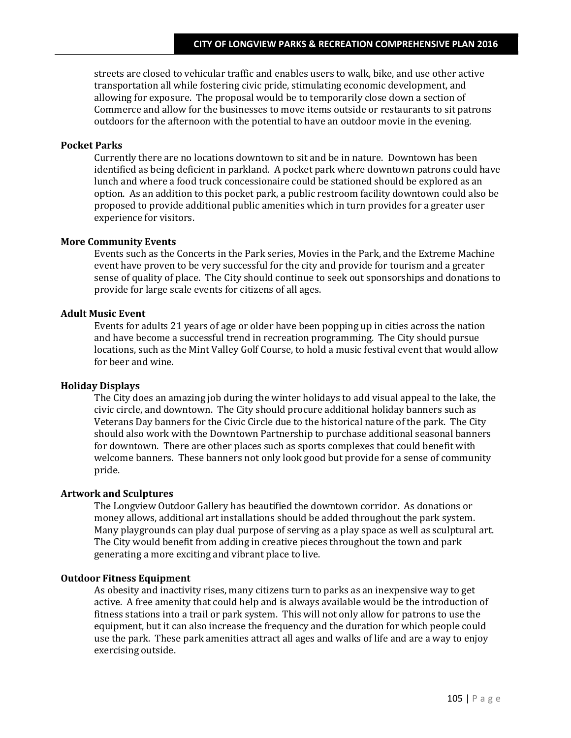streets are closed to vehicular traffic and enables users to walk, bike, and use other active transportation all while fostering civic pride, stimulating economic development, and allowing for exposure. The proposal would be to temporarily close down a section of Commerce and allow for the businesses to move items outside or restaurants to sit patrons outdoors for the afternoon with the potential to have an outdoor movie in the evening.

### **Pocket Parks**

Currently there are no locations downtown to sit and be in nature. Downtown has been identified as being deficient in parkland. A pocket park where downtown patrons could have lunch and where a food truck concessionaire could be stationed should be explored as an option. As an addition to this pocket park, a public restroom facility downtown could also be proposed to provide additional public amenities which in turn provides for a greater user experience for visitors.

### **More Community Events**

Events such as the Concerts in the Park series, Movies in the Park, and the Extreme Machine event have proven to be very successful for the city and provide for tourism and a greater sense of quality of place. The City should continue to seek out sponsorships and donations to provide for large scale events for citizens of all ages.

#### **Adult Music Event**

Events for adults 21 years of age or older have been popping up in cities across the nation and have become a successful trend in recreation programming. The City should pursue locations, such as the Mint Valley Golf Course, to hold a music festival event that would allow for beer and wine.

#### **Holiday Displays**

The City does an amazing job during the winter holidays to add visual appeal to the lake, the civic circle, and downtown. The City should procure additional holiday banners such as Veterans Day banners for the Civic Circle due to the historical nature of the park. The City should also work with the Downtown Partnership to purchase additional seasonal banners for downtown. There are other places such as sports complexes that could benefit with welcome banners. These banners not only look good but provide for a sense of community pride.

#### **Artwork and Sculptures**

The Longview Outdoor Gallery has beautified the downtown corridor. As donations or money allows, additional art installations should be added throughout the park system. Many playgrounds can play dual purpose of serving as a play space as well as sculptural art. The City would benefit from adding in creative pieces throughout the town and park generating a more exciting and vibrant place to live.

## **Outdoor Fitness Equipment**

As obesity and inactivity rises, many citizens turn to parks as an inexpensive way to get active. A free amenity that could help and is always available would be the introduction of fitness stations into a trail or park system. This will not only allow for patrons to use the equipment, but it can also increase the frequency and the duration for which people could use the park. These park amenities attract all ages and walks of life and are a way to enjoy exercising outside.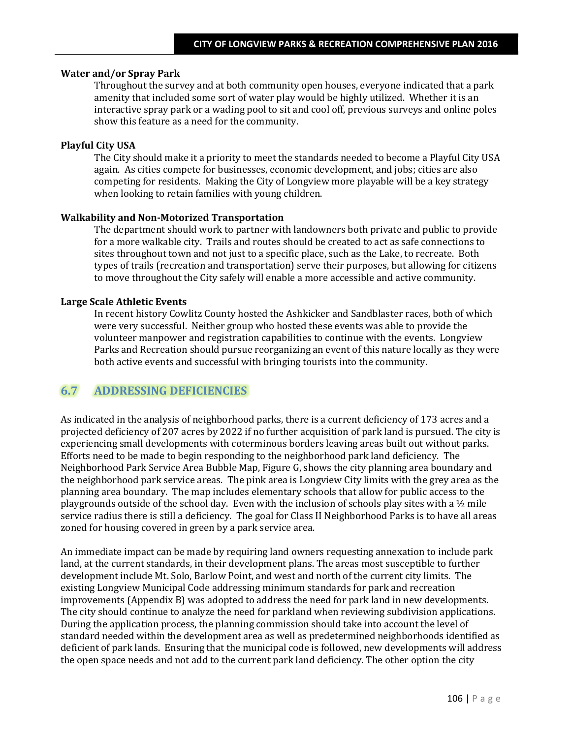#### **Water and/or Spray Park**

Throughout the survey and at both community open houses, everyone indicated that a park amenity that included some sort of water play would be highly utilized. Whether it is an interactive spray park or a wading pool to sit and cool off, previous surveys and online poles show this feature as a need for the community.

### **Playful City USA**

The City should make it a priority to meet the standards needed to become a Playful City USA again. As cities compete for businesses, economic development, and jobs; cities are also competing for residents. Making the City of Longview more playable will be a key strategy when looking to retain families with young children.

### **Walkability and Non-Motorized Transportation**

The department should work to partner with landowners both private and public to provide for a more walkable city. Trails and routes should be created to act as safe connections to sites throughout town and not just to a specific place, such as the Lake, to recreate. Both types of trails (recreation and transportation) serve their purposes, but allowing for citizens to move throughout the City safely will enable a more accessible and active community.

## **Large Scale Athletic Events**

In recent history Cowlitz County hosted the Ashkicker and Sandblaster races, both of which were very successful. Neither group who hosted these events was able to provide the volunteer manpower and registration capabilities to continue with the events. Longview Parks and Recreation should pursue reorganizing an event of this nature locally as they were both active events and successful with bringing tourists into the community.

## **6.7 ADDRESSING DEFICIENCIES**

As indicated in the analysis of neighborhood parks, there is a current deficiency of 173 acres and a projected deficiency of 207 acres by 2022 if no further acquisition of park land is pursued. The city is experiencing small developments with coterminous borders leaving areas built out without parks. Efforts need to be made to begin responding to the neighborhood park land deficiency. The Neighborhood Park Service Area Bubble Map, Figure G, shows the city planning area boundary and the neighborhood park service areas. The pink area is Longview City limits with the grey area as the planning area boundary. The map includes elementary schools that allow for public access to the playgrounds outside of the school day. Even with the inclusion of schools play sites with a  $\frac{1}{2}$  mile service radius there is still a deficiency. The goal for Class II Neighborhood Parks is to have all areas zoned for housing covered in green by a park service area.

An immediate impact can be made by requiring land owners requesting annexation to include park land, at the current standards, in their development plans. The areas most susceptible to further development include Mt. Solo, Barlow Point, and west and north of the current city limits. The existing Longview Municipal Code addressing minimum standards for park and recreation improvements (Appendix B) was adopted to address the need for park land in new developments. The city should continue to analyze the need for parkland when reviewing subdivision applications. During the application process, the planning commission should take into account the level of standard needed within the development area as well as predetermined neighborhoods identified as deficient of park lands. Ensuring that the municipal code is followed, new developments will address the open space needs and not add to the current park land deficiency. The other option the city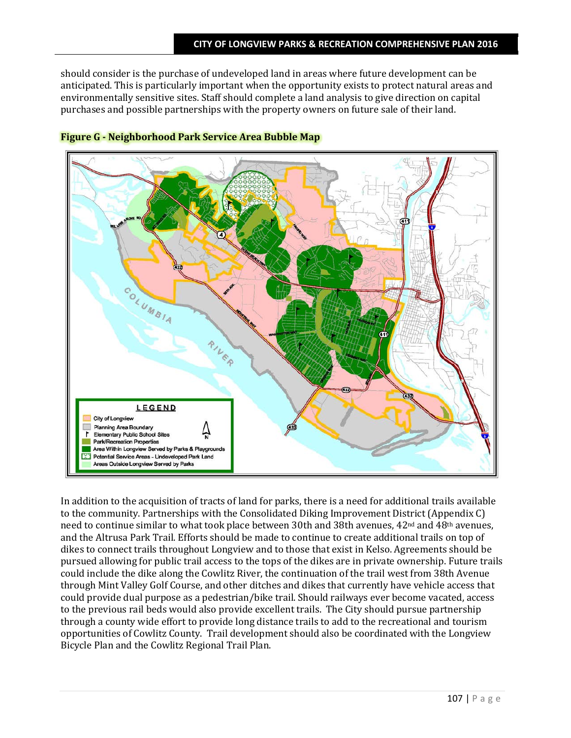should consider is the purchase of undeveloped land in areas where future development can be anticipated. This is particularly important when the opportunity exists to protect natural areas and environmentally sensitive sites. Staff should complete a land analysis to give direction on capital purchases and possible partnerships with the property owners on future sale of their land.



## **Figure G - Neighborhood Park Service Area Bubble Map**

In addition to the acquisition of tracts of land for parks, there is a need for additional trails available to the community. Partnerships with the Consolidated Diking Improvement District (Appendix C) need to continue similar to what took place between 30th and 38th avenues, 42nd and 48th avenues, and the Altrusa Park Trail. Efforts should be made to continue to create additional trails on top of dikes to connect trails throughout Longview and to those that exist in Kelso. Agreements should be pursued allowing for public trail access to the tops of the dikes are in private ownership. Future trails could include the dike along the Cowlitz River, the continuation of the trail west from 38th Avenue through Mint Valley Golf Course, and other ditches and dikes that currently have vehicle access that could provide dual purpose as a pedestrian/bike trail. Should railways ever become vacated, access to the previous rail beds would also provide excellent trails. The City should pursue partnership through a county wide effort to provide long distance trails to add to the recreational and tourism opportunities of Cowlitz County. Trail development should also be coordinated with the Longview Bicycle Plan and the Cowlitz Regional Trail Plan.